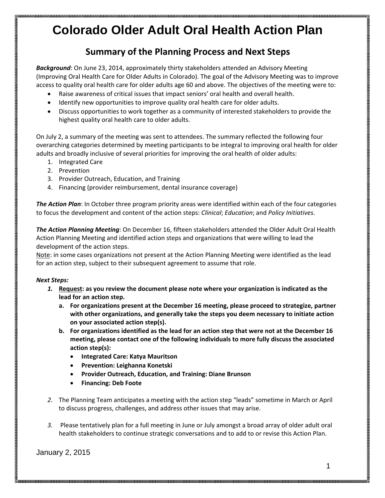### **Summary of the Planning Process and Next Steps**

*Background*: On June 23, 2014, approximately thirty stakeholders attended an Advisory Meeting (Improving Oral Health Care for Older Adults in Colorado). The goal of the Advisory Meeting was to improve access to quality oral health care for older adults age 60 and above. The objectives of the meeting were to:

- Raise awareness of critical issues that impact seniors' oral health and overall health.
- Identify new opportunities to improve quality oral health care for older adults.
- Discuss opportunities to work together as a community of interested stakeholders to provide the highest quality oral health care to older adults.

On July 2, a summary of the meeting was sent to attendees. The summary reflected the following four overarching categories determined by meeting participants to be integral to improving oral health for older adults and broadly inclusive of several priorities for improving the oral health of older adults:

- 1. Integrated Care
- 2. Prevention
- 3. Provider Outreach, Education, and Training
- 4. Financing (provider reimbursement, dental insurance coverage)

*The Action Plan*: In October three program priority areas were identified within each of the four categories to focus the development and content of the action steps: *Clinical*; *Education*; and *Policy Initiatives*.

*The Action Planning Meeting*: On December 16, fifteen stakeholders attended the Older Adult Oral Health Action Planning Meeting and identified action steps and organizations that were willing to lead the development of the action steps.

Note: in some cases organizations not present at the Action Planning Meeting were identified as the lead for an action step, subject to their subsequent agreement to assume that role.

### *Next Steps:*

- *1.* **Request: as you review the document please note where your organization is indicated as the lead for an action step.** 
	- **a. For organizations present at the December 16 meeting, please proceed to strategize, partner with other organizations, and generally take the steps you deem necessary to initiate action on your associated action step(s).**
	- **b. For organizations identified as the lead for an action step that were not at the December 16 meeting, please contact one of the following individuals to more fully discuss the associated action step(s):** 
		- **Integrated Care: Katya Mauritson**
		- **Prevention: Leighanna Konetski**
		- **Provider Outreach, Education, and Training: Diane Brunson**
		- **Financing: Deb Foote**
- *2.* The Planning Team anticipates a meeting with the action step "leads" sometime in March or April to discuss progress, challenges, and address other issues that may arise.
- *3.* Please tentatively plan for a full meeting in June or July amongst a broad array of older adult oral health stakeholders to continue strategic conversations and to add to or revise this Action Plan.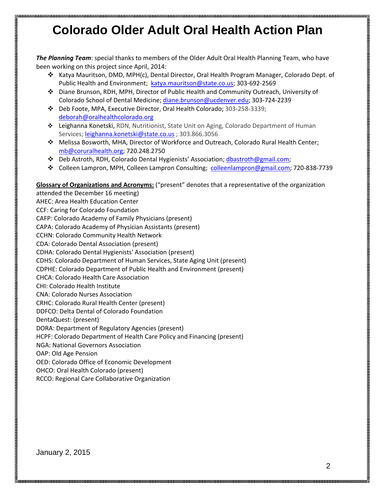*The Planning Team*: special thanks to members of the Older Adult Oral Health Planning Team, who have been working on this project since April, 2014:

- Katya Mauritson, DMD, MPH(c), Dental Director, Oral Health Program Manager, Colorado Dept. of Public Health and Environment; [katya.mauritson@state.co.us;](mailto:katya.mauritson@state.co.us) 303-692-2569
- Diane Brunson, RDH, MPH, Director of Public Health and Community Outreach, University of Colorado School of Dental Medicine; [diane.brunson@ucdenver.edu;](mailto:diane.brunson@ucdenver.edu) 303-724-2239
- Deb Foote, MPA, Executive Director, Oral Health Colorado; 303-258-3339; [deborah@oralhealthcolorado.org](mailto:deborah@oralhealthcolorado.org)
- Leighanna Konetski, RDN, Nutritionist, State Unit on Aging, Colorado Department of Human Services; [leighanna.konetski@state.co.us](mailto:leighanna.konetski@state.co.us) ; 303.866.3056
- Melissa Bosworth, MHA, Director of Workforce and Outreach, Colorado Rural Health Center; [mb@coruralhealth.org;](mailto:mb@coruralhealth.org) 720.248.2750
- Deb Astroth, RDH, Colorado Dental Hygienists' Association; [dbastroth@gmail.com;](mailto:dbastroth@gmail.com)
- Colleen Lampron, MPH, Colleen Lampron Consulting; [colleenlampron@gmail.com;](mailto:colleenlampron@gmail.com) 720-838-7739

#### **Glossary of Organizations and Acronyms:** ("present" denotes that a representative of the organization

attended the December 16 meeting) AHEC: Area Health Education Center CCF: Caring for Colorado Foundation CAFP: Colorado Academy of Family Physicians (present) CAPA: Colorado Academy of Physician Assistants (present) CCHN: Colorado Community Health Network CDA: Colorado Dental Association (present) CDHA: Colorado Dental Hygienists' Association (present) CDHS: Colorado Department of Human Services, State Aging Unit (present) CDPHE: Colorado Department of Public Health and Environment (present) CHCA: Colorado Health Care Association CHI: Colorado Health Institute CNA: Colorado Nurses Association CRHC: Colorado Rural Health Center (present) DDFCO: Delta Dental of Colorado Foundation DentaQuest: (present) DORA: Department of Regulatory Agencies (present) HCPF: Colorado Department of Health Care Policy and Financing (present) NGA: National Governors Association OAP: Old Age Pension OED: Colorado Office of Economic Development OHCO: Oral Health Colorado (present)

RCCO: Regional Care Collaborative Organization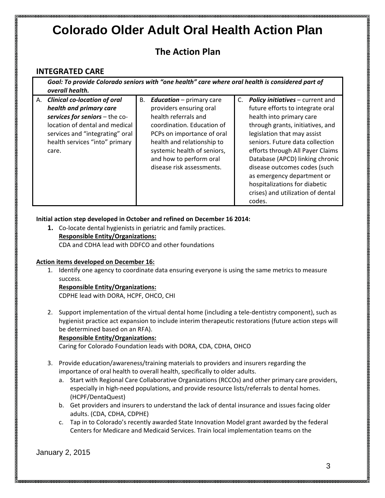### **The Action Plan**

### **INTEGRATED CARE**

*Goal: To provide Colorado seniors with "one health" care where oral health is considered part of overall health.* A. *Clinical co-location of oral*  B. *Education* – primary care C. *Policy initiatives* – current and

| A. Chritical co-location of oral | D. | <b>Equivation –</b> primary care | <b>POIICY INITIATIVES - CUITENT AND</b> |
|----------------------------------|----|----------------------------------|-----------------------------------------|
| health and primary care          |    | providers ensuring oral          | future efforts to integrate oral        |
| services for seniors - the co-   |    | health referrals and             | health into primary care                |
| location of dental and medical   |    | coordination. Education of       | through grants, initiatives, and        |
| services and "integrating" oral  |    | PCPs on importance of oral       | legislation that may assist             |
| health services "into" primary   |    | health and relationship to       | seniors. Future data collection         |
| care.                            |    | systemic health of seniors,      | efforts through All Payer Claims        |
|                                  |    | and how to perform oral          | Database (APCD) linking chronic         |
|                                  |    | disease risk assessments.        | disease outcomes codes (such            |
|                                  |    |                                  | as emergency department or              |
|                                  |    |                                  | hospitalizations for diabetic           |
|                                  |    |                                  | crises) and utilization of dental       |
|                                  |    |                                  | codes.                                  |

### **Initial action step developed in October and refined on December 16 2014:**

**1.** Co-locate dental hygienists in geriatric and family practices. **Responsible Entity/Organizations:** CDA and CDHA lead with DDFCO and other foundations

### **Action items developed on December 16:**

1. Identify one agency to coordinate data ensuring everyone is using the same metrics to measure success.

### **Responsible Entity/Organizations:**

CDPHE lead with DORA, HCPF, OHCO, CHI

2. Support implementation of the virtual dental home (including a tele-dentistry component), such as hygienist practice act expansion to include interim therapeutic restorations (future action steps will be determined based on an RFA).

### **Responsible Entity/Organizations:**

Caring for Colorado Foundation leads with DORA, CDA, CDHA, OHCO

- 3. Provide education/awareness/training materials to providers and insurers regarding the importance of oral health to overall health, specifically to older adults.
	- a. Start with Regional Care Collaborative Organizations (RCCOs) and other primary care providers, especially in high-need populations, and provide resource lists/referrals to dental homes. (HCPF/DentaQuest)
	- b. Get providers and insurers to understand the lack of dental insurance and issues facing older adults. (CDA, CDHA, CDPHE)
	- c. Tap in to Colorado's recently awarded State Innovation Model grant awarded by the federal Centers for Medicare and Medicaid Services. Train local implementation teams on the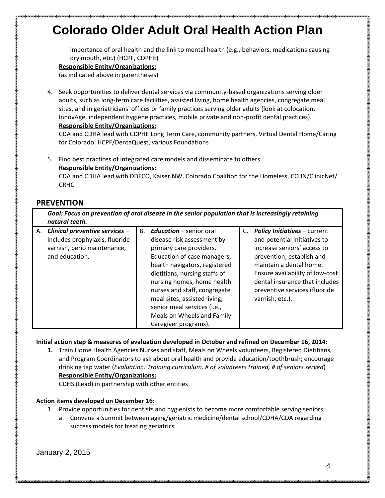importance of oral health and the link to mental health (e.g., behaviors, medications causing dry mouth, etc.) (HCPF, CDPHE)

### **Responsible Entity/Organizations:**

(as indicated above in parentheses)

4. Seek opportunities to deliver dental services via community-based organizations serving older adults, such as long-term care facilities, assisted living, home health agencies, congregate meal sites, and in geriatricians' offices or family practices serving older adults (look at colocation, InnovAge, independent hygiene practices, mobile private and non-profit dental practices). **Responsible Entity/Organizations:**

CDA and CDHA lead with CDPHE Long Term Care, community partners, Virtual Dental Home/Caring for Colorado, HCPF/DentaQuest, various Foundations

5. Find best practices of integrated care models and disseminate to others. **Responsible Entity/Organizations:**

CDA and CDHA lead with DDFCO, Kaiser NW, Colorado Coalition for the Homeless, CCHN/ClinicNet/ CRHC

### **PREVENTION**

*Goal: Focus on prevention of oral disease in the senior population that is increasingly retaining natural teeth.*

| А. | Clinical preventive services -<br>includes prophylaxis, fluoride<br>varnish, perio maintenance,<br>and education. | В. | <b>Education</b> – senior oral<br>disease risk assessment by<br>primary care providers.<br>Education of case managers,<br>health navigators, registered<br>dietitians, nursing staffs of<br>nursing homes, home health<br>nurses and staff, congregate<br>meal sites, assisted living,<br>senior meal services (i.e.,<br>Meals on Wheels and Family<br>Caregiver programs). |  | C. Policy Initiatives - current<br>and potential initiatives to<br>increase seniors' access to<br>prevention; establish and<br>maintain a dental home.<br>Ensure availability of low-cost<br>dental insurance that includes<br>preventive services (fluoride<br>varnish, etc.). |
|----|-------------------------------------------------------------------------------------------------------------------|----|-----------------------------------------------------------------------------------------------------------------------------------------------------------------------------------------------------------------------------------------------------------------------------------------------------------------------------------------------------------------------------|--|---------------------------------------------------------------------------------------------------------------------------------------------------------------------------------------------------------------------------------------------------------------------------------|
|----|-------------------------------------------------------------------------------------------------------------------|----|-----------------------------------------------------------------------------------------------------------------------------------------------------------------------------------------------------------------------------------------------------------------------------------------------------------------------------------------------------------------------------|--|---------------------------------------------------------------------------------------------------------------------------------------------------------------------------------------------------------------------------------------------------------------------------------|

**Initial action step & measures of evaluation developed in October and refined on December 16, 2014:**

**1.** Train Home Health Agencies Nurses and staff, Meals on Wheels volunteers, Registered Dietitians, and Program Coordinators to ask about oral health and provide education/toothbrush; encourage drinking tap water (*Evaluation: Training curriculum, # of volunteers trained, # of seniors served*) **Responsible Entity/Organizations:**

CDHS (Lead) in partnership with other entities

#### **Action items developed on December 16:**

- 1. Provide opportunities for dentists and hygienists to become more comfortable serving seniors:
	- a. Convene a Summit between aging/geriatric medicine/dental school/CDHA/CDA regarding success models for treating geriatrics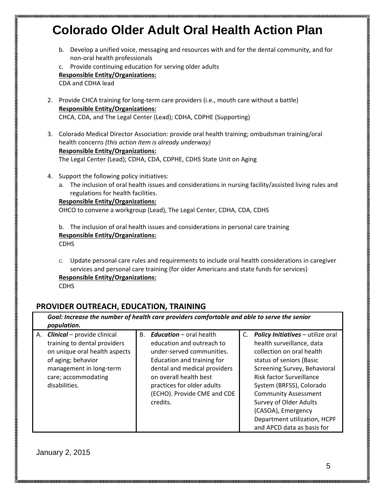b. Develop a unified voice, messaging and resources with and for the dental community, and for non-oral health professionals

c. Provide continuing education for serving older adults **Responsible Entity/Organizations:** CDA and CDHA lead

- 2. Provide CHCA training for long-term care providers (i.e., mouth care without a battle) **Responsible Entity/Organizations:** CHCA, CDA, and The Legal Center (Lead); CDHA, CDPHE (Supporting)
- 3. Colorado Medical Director Association: provide oral health training; ombudsman training/oral health concerns *(this action item is already underway)* **Responsible Entity/Organizations:**

The Legal Center (Lead); CDHA, CDA, CDPHE, CDHS State Unit on Aging

- 4. Support the following policy initiatives:
	- a. The inclusion of oral health issues and considerations in nursing facility/assisted living rules and regulations for health facilities.

#### **Responsible Entity/Organizations:**

OHCO to convene a workgroup (Lead), The Legal Center, CDHA, CDA, CDHS

b. The inclusion of oral health issues and considerations in personal care training **Responsible Entity/Organizations:** CDHS

C. Update personal care rules and requirements to include oral health considerations in caregiver services and personal care training (for older Americans and state funds for services)

**Responsible Entity/Organizations:**

CDHS

### **PROVIDER OUTREACH, EDUCATION, TRAINING**

| population.                                                                                                                                                                                        | Goal: Increase the number of health care providers comfortable and able to serve the senior                                                                                                                                                                     |                                                                                                                                                                                                                                                                                                                                                                        |  |  |  |
|----------------------------------------------------------------------------------------------------------------------------------------------------------------------------------------------------|-----------------------------------------------------------------------------------------------------------------------------------------------------------------------------------------------------------------------------------------------------------------|------------------------------------------------------------------------------------------------------------------------------------------------------------------------------------------------------------------------------------------------------------------------------------------------------------------------------------------------------------------------|--|--|--|
| <b>Clinical</b> – provide clinical<br>А.<br>training to dental providers<br>on unique oral health aspects<br>of aging; behavior<br>management in long-term<br>care; accommodating<br>disabilities. | <b>Education</b> – oral health<br>B.<br>education and outreach to<br>under-served communities.<br>Education and training for<br>dental and medical providers<br>on overall health best<br>practices for older adults<br>(ECHO). Provide CME and CDE<br>credits. | C. Policy Initiatives - utilize oral<br>health surveillance, data<br>collection on oral health<br>status of seniors (Basic<br>Screening Survey, Behavioral<br>Risk factor Surveillance<br>System (BRFSS), Colorado<br><b>Community Assessment</b><br><b>Survey of Older Adults</b><br>(CASOA), Emergency<br>Department utilization, HCPF<br>and APCD data as basis for |  |  |  |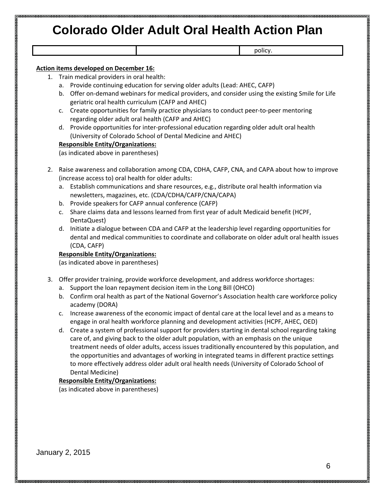policy.

#### **Action items developed on December 16:**

- 1. Train medical providers in oral health:
	- a. Provide continuing education for serving older adults (Lead: AHEC, CAFP)
	- b. Offer on-demand webinars for medical providers, and consider using the existing Smile for Life geriatric oral health curriculum (CAFP and AHEC)
	- c. Create opportunities for family practice physicians to conduct peer-to-peer mentoring regarding older adult oral health (CAFP and AHEC)
	- d. Provide opportunities for inter-professional education regarding older adult oral health (University of Colorado School of Dental Medicine and AHEC)

#### **Responsible Entity/Organizations:**

(as indicated above in parentheses)

- 2. Raise awareness and collaboration among CDA, CDHA, CAFP, CNA, and CAPA about how to improve (increase access to) oral health for older adults:
	- a. Establish communications and share resources, e.g., distribute oral health information via newsletters, magazines, etc. (CDA/CDHA/CAFP/CNA/CAPA)
	- b. Provide speakers for CAFP annual conference (CAFP)
	- c. Share claims data and lessons learned from first year of adult Medicaid benefit (HCPF, DentaQuest)
	- d. Initiate a dialogue between CDA and CAFP at the leadership level regarding opportunities for dental and medical communities to coordinate and collaborate on older adult oral health issues (CDA, CAFP)

#### **Responsible Entity/Organizations:**

(as indicated above in parentheses)

- 3. Offer provider training, provide workforce development, and address workforce shortages:
	- a. Support the loan repayment decision item in the Long Bill (OHCO)
	- b. Confirm oral health as part of the National Governor's Association health care workforce policy academy (DORA)
	- c. Increase awareness of the economic impact of dental care at the local level and as a means to engage in oral health workforce planning and development activities (HCPF, AHEC, OED)
	- d. Create a system of professional support for providers starting in dental school regarding taking care of, and giving back to the older adult population, with an emphasis on the unique treatment needs of older adults, access issues traditionally encountered by this population, and the opportunities and advantages of working in integrated teams in different practice settings to more effectively address older adult oral health needs (University of Colorado School of Dental Medicine)

#### **Responsible Entity/Organizations:**

(as indicated above in parentheses)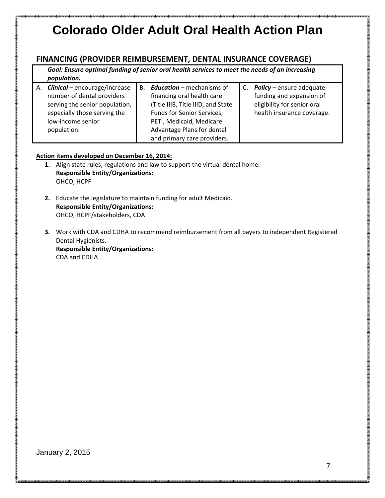### **FINANCING (PROVIDER REIMBURSEMENT, DENTAL INSURANCE COVERAGE)**

*Goal: Ensure optimal funding of senior oral health services to meet the needs of an increasing population.*

| A. <b>Clinical</b> – encourage/increase<br>number of dental providers<br>serving the senior population,<br>especially those serving the<br>low-income senior<br>population. | <b>B.</b> | <b>Education</b> – mechanisms of<br>financing oral health care<br>(Title IIIB, Title IIID, and State<br>Funds for Senior Services;<br>PETI, Medicaid, Medicare<br>Advantage Plans for dental | C. <b>Policy</b> – ensure adequate<br>funding and expansion of<br>eligibility for senior oral<br>health insurance coverage. |
|-----------------------------------------------------------------------------------------------------------------------------------------------------------------------------|-----------|----------------------------------------------------------------------------------------------------------------------------------------------------------------------------------------------|-----------------------------------------------------------------------------------------------------------------------------|
|                                                                                                                                                                             |           | and primary care providers.                                                                                                                                                                  |                                                                                                                             |

### **Action items developed on December 16, 2014:**

- **1.** Align state rules, regulations and law to support the virtual dental home. **Responsible Entity/Organizations:** OHCO, HCPF
- **2.** Educate the legislature to maintain funding for adult Medicaid. **Responsible Entity/Organizations:** OHCO, HCPF/stakeholders, CDA
- **3.** Work with CDA and CDHA to recommend reimbursement from all payers to independent Registered Dental Hygienists.

**Responsible Entity/Organizations:** CDA and CDHA